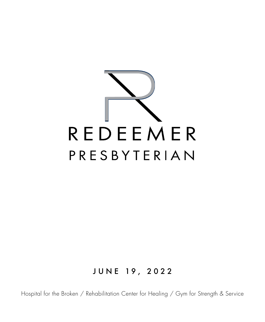

## JUNE 19, 2022

Hospital for the Broken / Rehabilitation Center for Healing / Gym for Strength & Service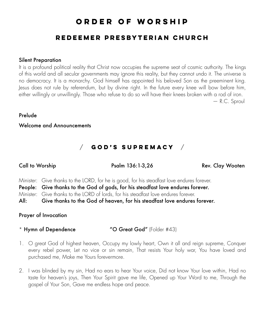# **order of worship Redeemer Presbyterian Church**

#### Silent Preparation

It is a profound political reality that Christ now occupies the supreme seat of cosmic authority. The kings of this world and all secular governments may ignore this reality, but they cannot undo it. The universe is no democracy. It is a monarchy. God himself has appointed his beloved Son as the preeminent king. Jesus does not rule by referendum, but by divine right. In the future every knee will bow before him, either willingly or unwillingly. Those who refuse to do so will have their knees broken with a rod of iron. — R.C. Sproul

#### Prelude

Welcome and Announcements

## / **God's Supremacy** /

Call to Worship Psalm 136:1-3,26 Rev. Clay Wooten

Minister: Give thanks to the LORD, for he is good, for his steadfast love endures forever.

People: Give thanks to the God of gods, for his steadfast love endures forever.

Minister: Give thanks to the LORD of lords, for his steadfast love endures forever.

All: Give thanks to the God of heaven, for his steadfast love endures forever.

### Prayer of Invocation

\* Hymn of Dependence "O Great God" (Folder #43)

- 1. O great God of highest heaven, Occupy my lowly heart, Own it all and reign supreme, Conquer every rebel power, Let no vice or sin remain, That resists Your holy war, You have loved and purchased me, Make me Yours forevermore.
- 2. I was blinded by my sin, Had no ears to hear Your voice, Did not know Your love within, Had no taste for heaven's joys, Then Your Spirit gave me life, Opened up Your Word to me, Through the gospel of Your Son, Gave me endless hope and peace.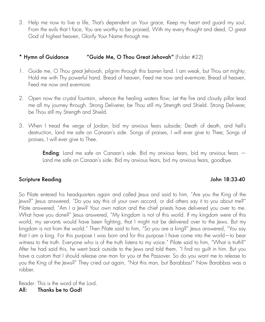3. Help me now to live a life, That's dependent on Your grace, Keep my heart and guard my soul, From the evils that I face, You are worthy to be praised, With my every thought and deed, O great God of highest heaven, Glorify Your Name through me.

### \* Hymn of Guidance "Guide Me, O Thou Great Jehovah" (Folder #22)

- 1. Guide me, O Thou great Jehovah, pilgrim through this barren land. I am weak, but Thou art mighty; Hold me with Thy powerful hand. Bread of heaven, Feed me now and evermore; Bread of heaven, Feed me now and evermore.
- 2. Open now the crystal fountain, whence the healing waters flow; Let the fire and cloudy pillar lead me all my journey through. Strong Deliverer, be Thou still my Strength and Shield. Strong Deliverer, be Thou still my Strength and Shield.
- 3. When I tread the verge of Jordan, bid my anxious fears subside; Death of death, and hell's destruction, land me safe on Canaan's side. Songs of praises, I will ever give to Thee; Songs of praises, I will ever give to Thee.

Ending: Land me safe on Canaan's side. Bid my anxious fears, bid my anxious fears — Land me safe on Canaan's side. Bid my anxious fears, bid my anxious fears, goodbye.

### Scripture Reading John 18:33-40

So Pilate entered his headquarters again and called Jesus and said to him, "Are you the King of the Jews?" Jesus answered, "Do you say this of your own accord, or did others say it to you about me?" Pilate answered, "Am I a Jew? Your own nation and the chief priests have delivered you over to me. What have you done?" Jesus answered, "My kingdom is not of this world. If my kingdom were of this world, my servants would have been fighting, that I might not be delivered over to the Jews. But my kingdom is not from the world." Then Pilate said to him, "So you are a king?" Jesus answered, "You say that I am a king. For this purpose I was born and for this purpose I have come into the world—to bear witness to the truth. Everyone who is of the truth listens to my voice." Pilate said to him, "What is truth?" After he had said this, he went back outside to the Jews and told them, "I find no guilt in him. But you have a custom that I should release one man for you at the Passover. So do you want me to release to you the King of the Jews?" They cried out again, "Not this man, but Barabbas!" Now Barabbas was a robber.

Reader: This is the word of the Lord. All: Thanks be to God!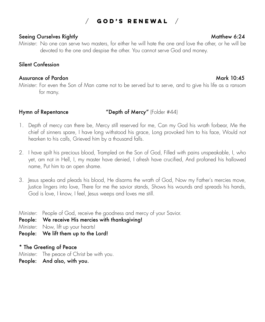## / **God's Renewal** /

### Seeing Ourselves Rightly Matthew 6:24

Minister: No one can serve two masters, for either he will hate the one and love the other, or he will be devoted to the one and despise the other. You cannot serve God and money.

### Silent Confession

#### Assurance of Pardon Mark 10:45

Minister: For even the Son of Man came not to be served but to serve, and to give his life as a ransom for many.

### Hymn of Repentance "Depth of Mercy" (Folder #44)

- 1. Depth of mercy can there be, Mercy still reserved for me, Can my God his wrath forbear, Me the chief of sinners spare, I have long withstood his grace, Long provoked him to his face, Would not hearken to his calls, Grieved him by a thousand falls.
- 2. I have spilt his precious blood, Trampled on the Son of God, Filled with pains unspeakable, I, who yet, am not in Hell, I, my master have denied, I afresh have crucified, And profaned his hallowed name, Put him to an open shame.
- 3. Jesus speaks and pleads his blood, He disarms the wrath of God, Now my Father's mercies move, Justice lingers into love, There for me the savior stands, Shows his wounds and spreads his hands, God is love, I know, I feel, Jesus weeps and loves me still.

Minister: People of God, receive the goodness and mercy of your Savior.

People: We receive His mercies with thanksgiving!

Minister: Now, lift up your hearts!

People: We lift them up to the Lord!

### \* The Greeting of Peace

Minister: The peace of Christ be with you.

People: And also, with you.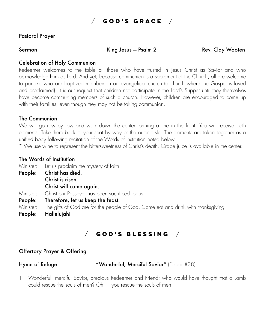## / **God's Grace** /

#### Pastoral Prayer

Sermon King Jesus — Psalm 2 Rev. Clay Wooten

#### Celebration of Holy Communion

Redeemer welcomes to the table all those who have trusted in Jesus Christ as Savior and who acknowledge Him as Lord. And yet, because communion is a sacrament of the Church, all are welcome to partake who are baptized members in an evangelical church (a church where the Gospel is loved and proclaimed). It is our request that children not participate in the Lord's Supper until they themselves have become communing members of such a church. However, children are encouraged to come up with their families, even though they may not be taking communion.

#### The Communion

We will go row by row and walk down the center forming a line in the front. You will receive both elements. Take them back to your seat by way of the outer aisle. The elements are taken together as a unified body following recitation of the Words of Institution noted below.

\* We use wine to represent the bittersweetness of Christ's death. Grape juice is available in the center.

### The Words of Institution

Minister: Let us proclaim the mystery of faith. People: Christ has died. Christ is risen. Christ will come again. Minister: Christ our Passover has been sacrificed for us. People: Therefore, let us keep the feast. Minister: The gifts of God are for the people of God. Come eat and drink with thanksgiving.

People: Hallelujah!

## / **God's Blessing** /

### Offertory Prayer & Offering

Hymn of Refuge **"Wonderful, Merciful Savior"** (Folder #38)

1. Wonderful, merciful Savior, precious Redeemer and Friend; who would have thought that a Lamb could rescue the souls of men? Oh ---- you rescue the souls of men.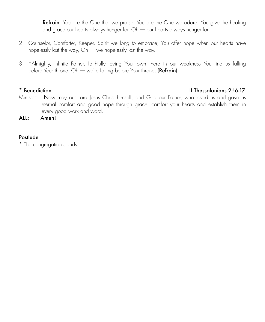**Refrain:** You are the One that we praise, You are the One we adore; You give the healing and grace our hearts always hunger for,  $Oh$   $-$  our hearts always hunger for.

- 2. Counselor, Comforter, Keeper, Spirit we long to embrace; You offer hope when our hearts have hopelessly lost the way, Oh - we hopelessly lost the way.
- 3. \*Almighty, Infinite Father, faithfully loving Your own; here in our weakness You find us falling before Your throne,  $Oh -$  we're falling before Your throne. ( $Refrain$ )

### \* Benediction II Thessalonians 2:!6-17

Minister: Now may our Lord Jesus Christ himself, and God our Father, who loved us and gave us eternal comfort and good hope through grace, comfort your hearts and establish them in every good work and word.

ALL: Amen!

### Postlude

\* The congregation stands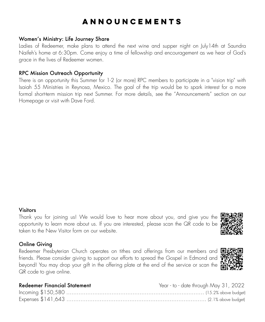## **Announcements**

#### Women's Ministry: Life Journey Share

Ladies of Redeemer, make plans to attend the next wine and supper night on July14th at Saundra Naifeh's home at 6:30pm. Come enjoy a time of fellowship and encouragement as we hear of God's grace in the lives of Redeemer women.

#### RPC Mission Outreach Opportunity

There is an opportunity this Summer for 1-2 (or more) RPC members to participate in a "vision trip" with Isaiah 55 Ministries in Reynosa, Mexico. The goal of the trip would be to spark interest for a more formal short-term mission trip next Summer. For more details, see the "Announcements" section on our Homepage or visit with Dave Ford.

#### Visitors

Thank you for joining us! We would love to hear more about you, and give you the opportunity to learn more about us. If you are interested, please scan the QR code to be taken to the New Visitor form on our website.

### Online Giving

Redeemer Presbyterian Church operates on tithes and offerings from our members and 日光格 friends. Please consider giving to support our efforts to spread the Gospel in Edmond and  $\mathbf \Phi$ beyond! You may drop your gift in the offering plate at the end of the service or scan the QR code to give online.



| <b>Redeemer Financial Statement</b> | Year - to - date through May 31, 2022 |
|-------------------------------------|---------------------------------------|
|                                     |                                       |
|                                     |                                       |